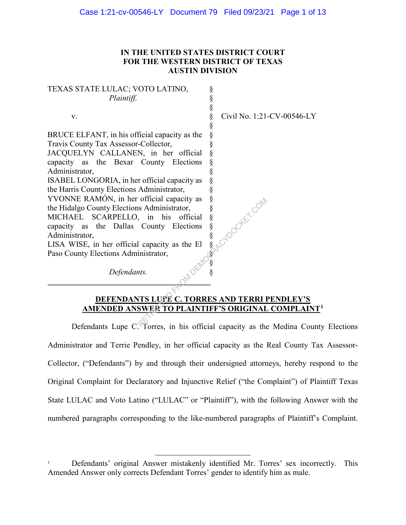# **IN THE UNITED STATES DISTRICT COURT FOR THE WESTERN DISTRICT OF TEXAS AUSTIN DIVISION**

§ § § § § § § § § § § § § § § § §  $\S$ §≦ § §

TEXAS STATE LULAC; VOTO LATINO, *Plaintiff,*

v.

BRUCE ELFANT, in his official capacity as the Travis County Tax Assessor-Collector,

JACQUELYN CALLANEN, in her official capacity as the Bexar County Elections Administrator,

ISABEL LONGORIA, in her official capacity as the Harris County Elections Administrator,

YVONNE RAMÓN, in her official capacity as the Hidalgo County Elections Administrator,

MICHAEL SCARPELLO, in his official capacity as the Dallas County Elections Administrator,

LISA WISE, in her official capacity as the El Paso County Elections Administrator,

*Defendants.*

**\_\_\_\_\_\_\_\_\_\_\_\_\_\_\_\_\_\_\_\_\_\_\_\_\_\_\_\_\_\_\_\_\_\_\_\_\_\_\_\_\_** 

Civil No. 1:21-CV-00546-LY

**DEFENDANTS LUPE C. TORRES AND TERRI PENDLEY'S AMENDED ANSWER TO PLAINTIFF'S ORIGINAL COMPLAINT1** official capacity as  $\frac{8}{5}$ <br>  $\frac{8}{5}$ <br>
County Elections  $\frac{8}{5}$ <br>
Leapacity as the El  $\frac{8}{5}$ <br>
Leapacity as the El  $\frac{8}{5}$ <br>
MISLUPE C. TORRES AND TERRI IS<br>
TISLUPE C. TORRES AND TERRI IS<br>
SUPER TO PLAINTIFF'S ORIG

Defendants Lupe C. Torres, in his official capacity as the Medina County Elections Administrator and Terrie Pendley, in her official capacity as the Real County Tax Assessor-Collector, ("Defendants") by and through their undersigned attorneys, hereby respond to the Original Complaint for Declaratory and Injunctive Relief ("the Complaint") of Plaintiff Texas State LULAC and Voto Latino ("LULAC" or "Plaintiff"), with the following Answer with the numbered paragraphs corresponding to the like-numbered paragraphs of Plaintiff's Complaint.

Defendants' original Answer mistakenly identified Mr. Torres' sex incorrectly. This Amended Answer only corrects Defendant Torres' gender to identify him as male.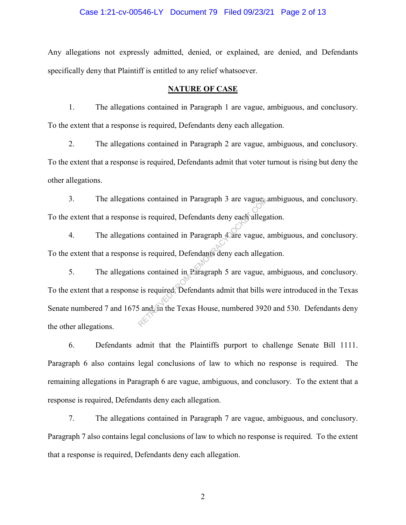### Case 1:21-cv-00546-LY Document 79 Filed 09/23/21 Page 2 of 13

Any allegations not expressly admitted, denied, or explained, are denied, and Defendants specifically deny that Plaintiff is entitled to any relief whatsoever.

#### **NATURE OF CASE**

1. The allegations contained in Paragraph 1 are vague, ambiguous, and conclusory. To the extent that a response is required, Defendants deny each allegation.

2. The allegations contained in Paragraph 2 are vague, ambiguous, and conclusory. To the extent that a response is required, Defendants admit that voter turnout is rising but deny the other allegations.

3. The allegations contained in Paragraph 3 are vague, ambiguous, and conclusory. To the extent that a response is required, Defendants deny each allegation.

4. The allegations contained in Paragraph 4 are vague, ambiguous, and conclusory. To the extent that a response is required, Defendants deny each allegation.

5. The allegations contained in Paragraph 5 are vague, ambiguous, and conclusory. To the extent that a response is required, Defendants admit that bills were introduced in the Texas Senate numbered 7 and 1675 and, in the Texas House, numbered 3920 and 530. Defendants deny the other allegations. The contained in Paragraph 3 are vagues<br>
is required, Defendants deny each allegare<br>
is required, Defendants deny each allegare<br>
is required, Defendants deny each allegare<br>
is required, Defendants admit that bills<br>
is requ

6. Defendants admit that the Plaintiffs purport to challenge Senate Bill 1111. Paragraph 6 also contains legal conclusions of law to which no response is required. The remaining allegations in Paragraph 6 are vague, ambiguous, and conclusory. To the extent that a response is required, Defendants deny each allegation.

7. The allegations contained in Paragraph 7 are vague, ambiguous, and conclusory. Paragraph 7 also contains legal conclusions of law to which no response is required. To the extent that a response is required, Defendants deny each allegation.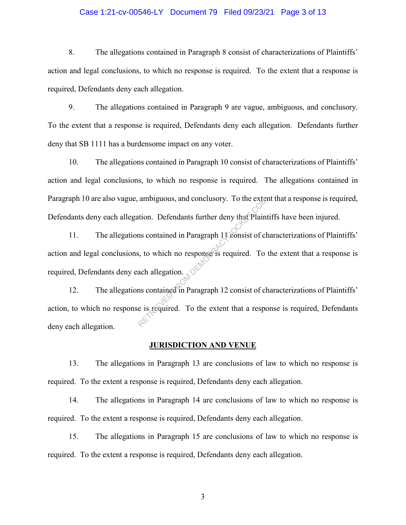### Case 1:21-cv-00546-LY Document 79 Filed 09/23/21 Page 3 of 13

8. The allegations contained in Paragraph 8 consist of characterizations of Plaintiffs' action and legal conclusions, to which no response is required. To the extent that a response is required, Defendants deny each allegation.

9. The allegations contained in Paragraph 9 are vague, ambiguous, and conclusory. To the extent that a response is required, Defendants deny each allegation. Defendants further deny that SB 1111 has a burdensome impact on any voter.

10. The allegations contained in Paragraph 10 consist of characterizations of Plaintiffs' action and legal conclusions, to which no response is required. The allegations contained in Paragraph 10 are also vague, ambiguous, and conclusory. To the extent that a response is required, Defendants deny each allegation. Defendants further deny that Plaintiffs have been injured.

11. The allegations contained in Paragraph 1 Consist of characterizations of Plaintiffs' action and legal conclusions, to which no response is required. To the extent that a response is required, Defendants deny each allegation. ambiguous, and conclusory. To the extent<br>tion. Defendants further deny that Plain<br>ms contained in Paragraph 1 (consist of cl<br>s, to which no response is required. To<br>ach allegation.<br>ms contained in Paragraph 12 consist of c

12. The allegations contained in Paragraph 12 consist of characterizations of Plaintiffs' action, to which no response is required. To the extent that a response is required, Defendants deny each allegation.

#### **JURISDICTION AND VENUE**

13. The allegations in Paragraph 13 are conclusions of law to which no response is required. To the extent a response is required, Defendants deny each allegation.

14. The allegations in Paragraph 14 are conclusions of law to which no response is required. To the extent a response is required, Defendants deny each allegation.

15. The allegations in Paragraph 15 are conclusions of law to which no response is required. To the extent a response is required, Defendants deny each allegation.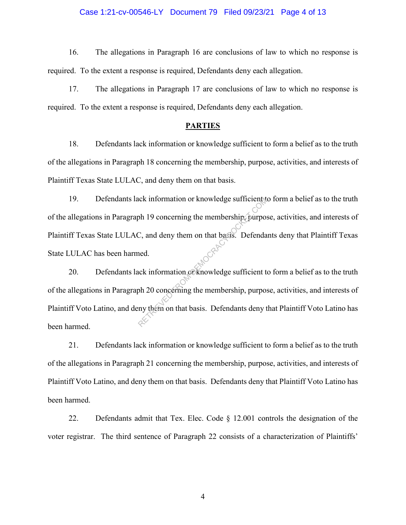### Case 1:21-cv-00546-LY Document 79 Filed 09/23/21 Page 4 of 13

16. The allegations in Paragraph 16 are conclusions of law to which no response is required. To the extent a response is required, Defendants deny each allegation.

17. The allegations in Paragraph 17 are conclusions of law to which no response is required. To the extent a response is required, Defendants deny each allegation.

### **PARTIES**

18. Defendants lack information or knowledge sufficient to form a belief as to the truth of the allegations in Paragraph 18 concerning the membership, purpose, activities, and interests of Plaintiff Texas State LULAC, and deny them on that basis.

19. Defendants lack information or knowledge sufficient to form a belief as to the truth of the allegations in Paragraph 19 concerning the membership, purpose, activities, and interests of Plaintiff Texas State LULAC, and deny them on that basis. Defendants deny that Plaintiff Texas State LULAC has been harmed. Note the membership of the membership of the membership of the membership of the membership of the membership of the membership, purpose the membership, purpose the membership, purpose the membership, purpose the membershi

20. Defendants lack information or knowledge sufficient to form a belief as to the truth of the allegations in Paragraph 20 concerning the membership, purpose, activities, and interests of Plaintiff Voto Latino, and deny them on that basis. Defendants deny that Plaintiff Voto Latino has been harmed.

21. Defendants lack information or knowledge sufficient to form a belief as to the truth of the allegations in Paragraph 21 concerning the membership, purpose, activities, and interests of Plaintiff Voto Latino, and deny them on that basis. Defendants deny that Plaintiff Voto Latino has been harmed.

22. Defendants admit that Tex. Elec. Code § 12.001 controls the designation of the voter registrar. The third sentence of Paragraph 22 consists of a characterization of Plaintiffs'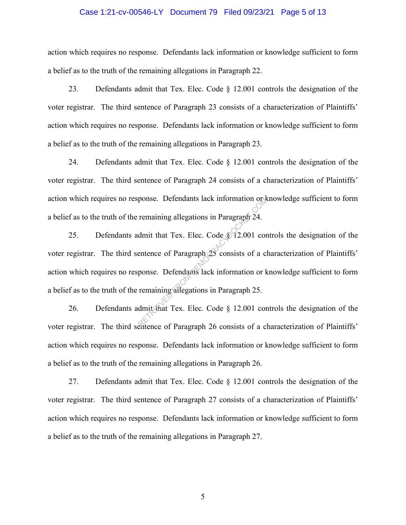### Case 1:21-cv-00546-LY Document 79 Filed 09/23/21 Page 5 of 13

action which requires no response. Defendants lack information or knowledge sufficient to form a belief as to the truth of the remaining allegations in Paragraph 22.

23. Defendants admit that Tex. Elec. Code § 12.001 controls the designation of the voter registrar. The third sentence of Paragraph 23 consists of a characterization of Plaintiffs' action which requires no response. Defendants lack information or knowledge sufficient to form a belief as to the truth of the remaining allegations in Paragraph 23.

24. Defendants admit that Tex. Elec. Code § 12.001 controls the designation of the voter registrar. The third sentence of Paragraph 24 consists of a characterization of Plaintiffs' action which requires no response. Defendants lack information or knowledge sufficient to form a belief as to the truth of the remaining allegations in Paragraph 24.

25. Defendants admit that Tex. Elec. Code  $\sqrt{$}12.001$  controls the designation of the voter registrar. The third sentence of Paragraph 25 consists of a characterization of Plaintiffs' action which requires no response. Defendants lack information or knowledge sufficient to form a belief as to the truth of the remaining allegations in Paragraph 25. ponse. Detendants lack information or a<br>remaining allegations in Paragraph 24.<br>dmit that Tex. Elec. Code § 12.001 cor<br>entence of Paragraph 25 consists of a cl<br>ponse. Defendants lack information or k<br>remaining allegations i

26. Defendants admit that Tex. Elec. Code § 12.001 controls the designation of the voter registrar. The third sentence of Paragraph 26 consists of a characterization of Plaintiffs' action which requires no response. Defendants lack information or knowledge sufficient to form a belief as to the truth of the remaining allegations in Paragraph 26.

27. Defendants admit that Tex. Elec. Code § 12.001 controls the designation of the voter registrar. The third sentence of Paragraph 27 consists of a characterization of Plaintiffs' action which requires no response. Defendants lack information or knowledge sufficient to form a belief as to the truth of the remaining allegations in Paragraph 27.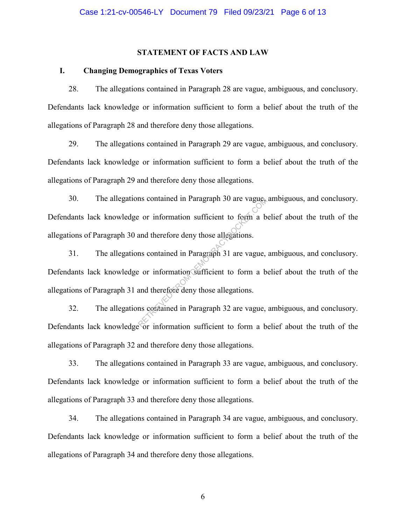### **STATEMENT OF FACTS AND LAW**

### **I. Changing Demographics of Texas Voters**

28. The allegations contained in Paragraph 28 are vague, ambiguous, and conclusory. Defendants lack knowledge or information sufficient to form a belief about the truth of the allegations of Paragraph 28 and therefore deny those allegations.

29. The allegations contained in Paragraph 29 are vague, ambiguous, and conclusory. Defendants lack knowledge or information sufficient to form a belief about the truth of the allegations of Paragraph 29 and therefore deny those allegations.

30. The allegations contained in Paragraph 30 are vague, ambiguous, and conclusory. Defendants lack knowledge or information sufficient to form a belief about the truth of the allegations of Paragraph 30 and therefore deny those allegations.

31. The allegations contained in Paragraph 31 are vague, ambiguous, and conclusory. Defendants lack knowledge or information sufficient to form a belief about the truth of the allegations of Paragraph 31 and therefore deny those allegations. In the vague.<br>
Solved the vague of the vague of the vague of the vague of the and therefore deny those allegations.<br>
In solution of the vague,<br>
Solved the vague of the vague of the vague of the vague of the vague of the va

32. The allegations contained in Paragraph 32 are vague, ambiguous, and conclusory. Defendants lack knowledge or information sufficient to form a belief about the truth of the allegations of Paragraph 32 and therefore deny those allegations.

33. The allegations contained in Paragraph 33 are vague, ambiguous, and conclusory. Defendants lack knowledge or information sufficient to form a belief about the truth of the allegations of Paragraph 33 and therefore deny those allegations.

34. The allegations contained in Paragraph 34 are vague, ambiguous, and conclusory. Defendants lack knowledge or information sufficient to form a belief about the truth of the allegations of Paragraph 34 and therefore deny those allegations.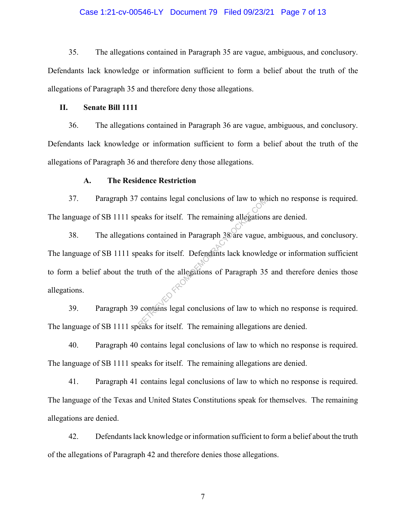### Case 1:21-cv-00546-LY Document 79 Filed 09/23/21 Page 7 of 13

35. The allegations contained in Paragraph 35 are vague, ambiguous, and conclusory. Defendants lack knowledge or information sufficient to form a belief about the truth of the allegations of Paragraph 35 and therefore deny those allegations.

#### **II. Senate Bill 1111**

36. The allegations contained in Paragraph 36 are vague, ambiguous, and conclusory. Defendants lack knowledge or information sufficient to form a belief about the truth of the allegations of Paragraph 36 and therefore deny those allegations.

#### **A. The Residence Restriction**

37. Paragraph 37 contains legal conclusions of law to which no response is required. The language of SB 1111 speaks for itself. The remaining allegations are denied.

38. The allegations contained in Paragraph 38 are vague, ambiguous, and conclusory. The language of SB 1111 speaks for itself. Defendants lack knowledge or information sufficient to form a belief about the truth of the allegations of Paragraph 35 and therefore denies those allegations. contains legal conclusions of law to we<br>eaks for itself. The remaining allegation<br>ms contained in Paragraph 38 are vague,<br>eaks for itself. Defendants lack knowled<br>truth of the allegations of Paragraph 35<br>contains legal con

39. Paragraph 39 contains legal conclusions of law to which no response is required. The language of SB 1111 speaks for itself. The remaining allegations are denied.

40. Paragraph 40 contains legal conclusions of law to which no response is required. The language of SB 1111 speaks for itself. The remaining allegations are denied.

41. Paragraph 41 contains legal conclusions of law to which no response is required. The language of the Texas and United States Constitutions speak for themselves. The remaining allegations are denied.

42. Defendants lack knowledge or information sufficient to form a belief about the truth of the allegations of Paragraph 42 and therefore denies those allegations.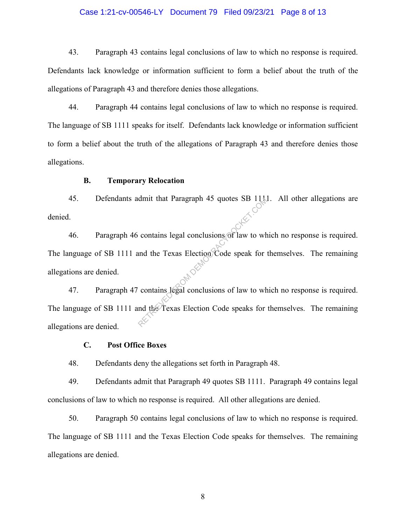### Case 1:21-cv-00546-LY Document 79 Filed 09/23/21 Page 8 of 13

43. Paragraph 43 contains legal conclusions of law to which no response is required. Defendants lack knowledge or information sufficient to form a belief about the truth of the allegations of Paragraph 43 and therefore denies those allegations.

44. Paragraph 44 contains legal conclusions of law to which no response is required. The language of SB 1111 speaks for itself. Defendants lack knowledge or information sufficient to form a belief about the truth of the allegations of Paragraph 43 and therefore denies those allegations.

### **B. Temporary Relocation**

45. Defendants admit that Paragraph 45 quotes SB 1111. All other allegations are denied.

46. Paragraph 46 contains legal conclusions of law to which no response is required. The language of SB 1111 and the Texas Election Code speak for themselves. The remaining allegations are denied. <sup>201</sup> <sup>201</sup> 2012<br>47. Paragraph 47 contains legal conclusions of law to which no response is required. The dimension of the Texas Election Code speak for contains legal conclusions of law to where the Texas Election Code speaks for

The language of SB 1111 and the Texas Election Code speaks for themselves. The remaining allegations are denied.

#### **C. Post Office Boxes**

48. Defendants deny the allegations set forth in Paragraph 48.

49. Defendants admit that Paragraph 49 quotes SB 1111. Paragraph 49 contains legal conclusions of law to which no response is required. All other allegations are denied.

50. Paragraph 50 contains legal conclusions of law to which no response is required. The language of SB 1111 and the Texas Election Code speaks for themselves. The remaining allegations are denied.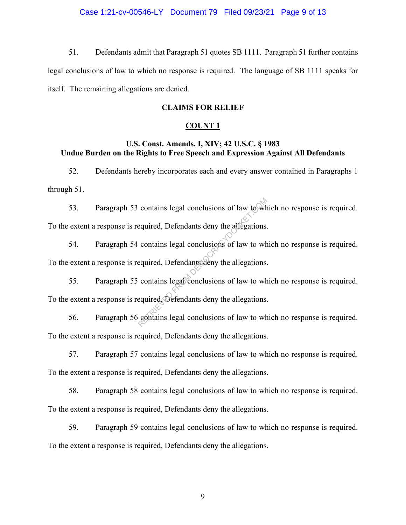# Case 1:21-cv-00546-LY Document 79 Filed 09/23/21 Page 9 of 13

51. Defendants admit that Paragraph 51 quotes SB 1111. Paragraph 51 further contains legal conclusions of law to which no response is required. The language of SB 1111 speaks for itself. The remaining allegations are denied.

### **CLAIMS FOR RELIEF**

## **COUNT 1**

# **U.S. Const. Amends. I, XIV; 42 U.S.C. § 1983 Undue Burden on the Rights to Free Speech and Expression Against All Defendants**

52. Defendants hereby incorporates each and every answer contained in Paragraphs 1 through 51.

53. Paragraph 53 contains legal conclusions of law to which no response is required. To the extent a response is required, Defendants deny the allegations. contains legal conclusions of law to wh<br>equired, Defendants deny the allegations.<br>contains legal conclusions of law to wh<br>equired, Defendants deny the allegations.<br>contains legal conclusions of law to wh<br>equired, Defendant

54. Paragraph 54 contains legal conclusions of law to which no response is required. To the extent a response is required, Defendants deny the allegations.

55. Paragraph 55 contains legal conclusions of law to which no response is required.

To the extent a response is required, Defendants deny the allegations.

56. Paragraph 56 contains legal conclusions of law to which no response is required. To the extent a response is required, Defendants deny the allegations.

57. Paragraph 57 contains legal conclusions of law to which no response is required. To the extent a response is required, Defendants deny the allegations.

58. Paragraph 58 contains legal conclusions of law to which no response is required. To the extent a response is required, Defendants deny the allegations.

59. Paragraph 59 contains legal conclusions of law to which no response is required. To the extent a response is required, Defendants deny the allegations.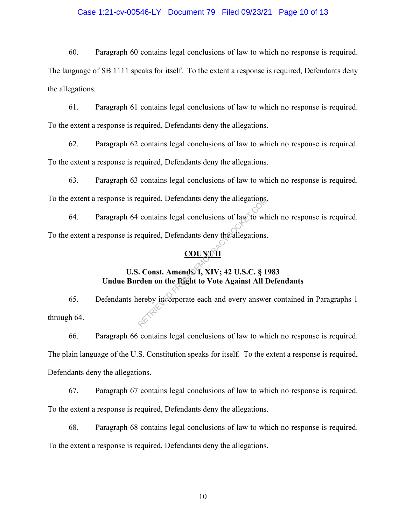## Case 1:21-cv-00546-LY Document 79 Filed 09/23/21 Page 10 of 13

60. Paragraph 60 contains legal conclusions of law to which no response is required.

The language of SB 1111 speaks for itself. To the extent a response is required, Defendants deny the allegations.

61. Paragraph 61 contains legal conclusions of law to which no response is required. To the extent a response is required, Defendants deny the allegations.

62. Paragraph 62 contains legal conclusions of law to which no response is required. To the extent a response is required, Defendants deny the allegations.

63. Paragraph 63 contains legal conclusions of law to which no response is required. To the extent a response is required, Defendants deny the allegations.

64. Paragraph 64 contains legal conclusions of law to which no response is required. To the extent a response is required, Defendants deny the allegations.

# **COUNTI**

# **U.S. Const. Amends. I, XIV; 42 U.S.C. § 1983 Undue Burden on the Right to Vote Against All Defendants**

65. Defendants hereby incorporate each and every answer contained in Paragraphs 1 through 64. Equired, Defendants deny the allegations,<br>contains legal conclusions of law to whe<br>equired, Defendants deny the allegations.<br>COUNTHERENT COUNTER<br>COUNTER<br>COUNTER COUNTER

66. Paragraph 66 contains legal conclusions of law to which no response is required. The plain language of the U.S. Constitution speaks for itself. To the extent a response is required, Defendants deny the allegations.

67. Paragraph 67 contains legal conclusions of law to which no response is required. To the extent a response is required, Defendants deny the allegations.

68. Paragraph 68 contains legal conclusions of law to which no response is required. To the extent a response is required, Defendants deny the allegations.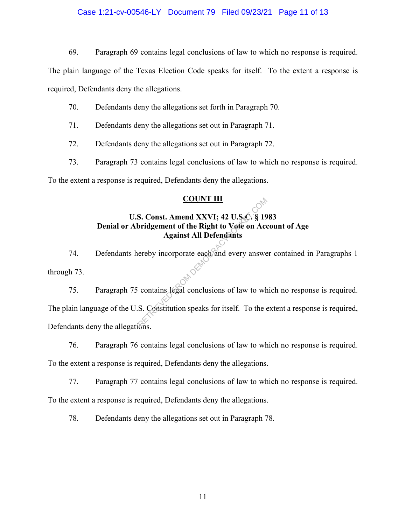## Case 1:21-cv-00546-LY Document 79 Filed 09/23/21 Page 11 of 13

69. Paragraph 69 contains legal conclusions of law to which no response is required.

The plain language of the Texas Election Code speaks for itself. To the extent a response is required, Defendants deny the allegations.

- 70. Defendants deny the allegations set forth in Paragraph 70.
- 71. Defendants deny the allegations set out in Paragraph 71.
- 72. Defendants deny the allegations set out in Paragraph 72.
- 73. Paragraph 73 contains legal conclusions of law to which no response is required.

To the extent a response is required, Defendants deny the allegations.

# **COUNT III**

# **U.S. Const. Amend XXVI; 42 U.S.C. § 1983 Denial or Abridgement of the Right to Vote on Account of Age Against All Defendants**

74. Defendants hereby incorporate each and every answer contained in Paragraphs 1 through 73.

75. Paragraph 75 contains legal conclusions of law to which no response is required. The plain language of the U.S. Constitution speaks for itself. To the extent a response is required, Defendants deny the allegations. COUNT III<br>S. Const. Amend XXVI; 42 U.S.C. § 19<br>bridgement of the Right to Vote on Acc<br>Against All Defendants<br>ereby incorporate each and every answere<br>contains legal conclusions of law to wh<br>S. Constitution speaks for itsel

76. Paragraph 76 contains legal conclusions of law to which no response is required.

To the extent a response is required, Defendants deny the allegations.

77. Paragraph 77 contains legal conclusions of law to which no response is required.

To the extent a response is required, Defendants deny the allegations.

78. Defendants deny the allegations set out in Paragraph 78.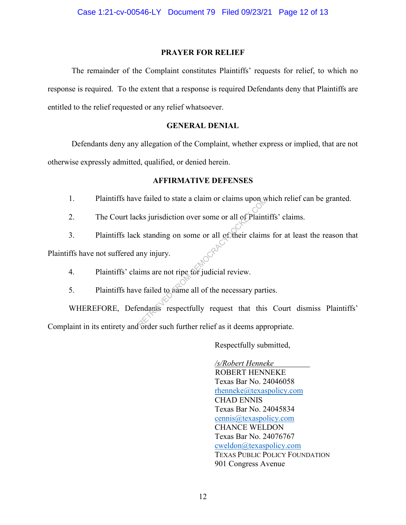# **PRAYER FOR RELIEF**

The remainder of the Complaint constitutes Plaintiffs' requests for relief, to which no response is required. To the extent that a response is required Defendants deny that Plaintiffs are entitled to the relief requested or any relief whatsoever.

# **GENERAL DENIAL**

Defendants deny any allegation of the Complaint, whether express or implied, that are not otherwise expressly admitted, qualified, or denied herein.

# **AFFIRMATIVE DEFENSES**

- 1. Plaintiffs have failed to state a claim or claims upon which relief can be granted.
- 2. The Court lacks jurisdiction over some or all of Plaintiffs' claims.
- 3. Plaintiffs lack standing on some or all of their claims for at least the reason that

Plaintiffs have not suffered any injury.

- 4. Plaintiffs' claims are not ripe for judicial review.
- 5. Plaintiffs have failed to name all of the necessary parties.

WHEREFORE, Defendants respectfully request that this Court dismiss Plaintiffs' Complaint in its entirety and order such further relief as it deems appropriate. e failed to state a claim or claims upon w<br>
ks jurisdiction over some or all of Plaint<br>
k standing on some or all of their claims<br>
any injury.<br>
ims are not ripe for judicial review.<br>
e failed to mame all of the necessary p

Respectfully submitted,

 */s/Robert Henneke* ROBERT HENNEKE Texas Bar No. 24046058 rhenneke@texaspolicy.com CHAD ENNIS Texas Bar No. 24045834 cennis@texaspolicy.com CHANCE WELDON Texas Bar No. 24076767 cweldon@texaspolicy.com TEXAS PUBLIC POLICY FOUNDATION 901 Congress Avenue